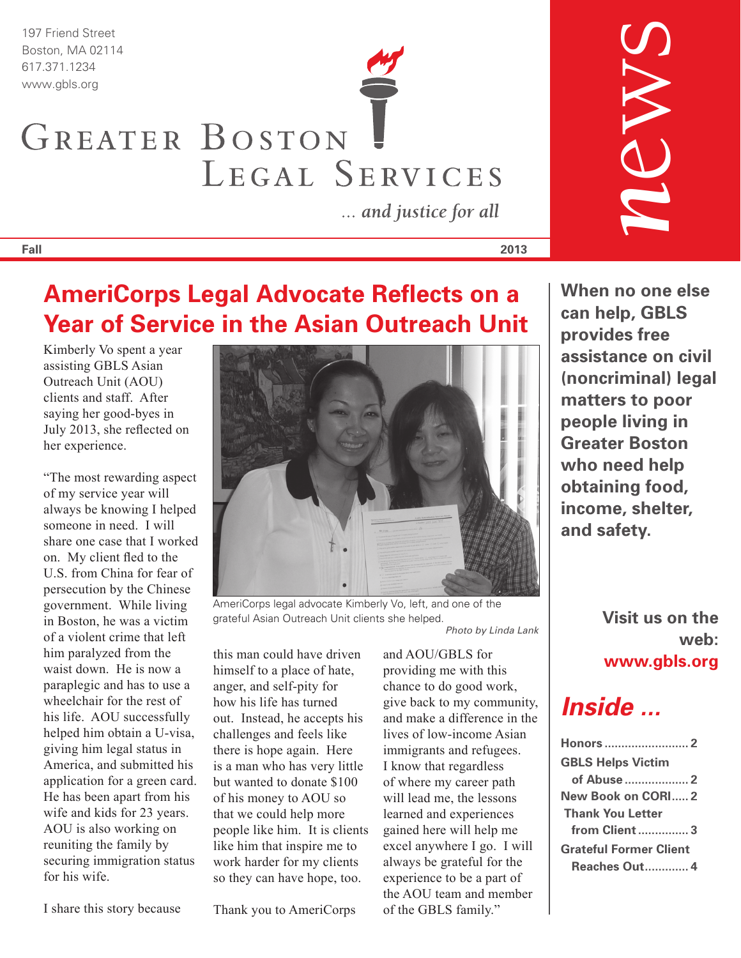197 Friend Street Boston, MA 02114

# 617.371.1234 www.gbls.org GREATER BOSTON LEGAL SERVICES

... and justice for all

**Fall 2013**

## **AmeriCorps Legal Advocate Reflects on a Year of Service in the Asian Outreach Unit**

Kimberly Vo spent a year assisting GBLS Asian Outreach Unit (AOU) clients and staff. After saying her good-byes in July 2013, she reflected on her experience.

"The most rewarding aspect of my service year will always be knowing I helped someone in need. I will share one case that I worked on. My client fled to the U.S. from China for fear of persecution by the Chinese government. While living in Boston, he was a victim of a violent crime that left him paralyzed from the waist down. He is now a paraplegic and has to use a wheelchair for the rest of his life. AOU successfully helped him obtain a U-visa, giving him legal status in America, and submitted his application for a green card. He has been apart from his wife and kids for 23 years. AOU is also working on reuniting the family by securing immigration status for his wife.

I share this story because

Thank you to AmeriCorps

#### AmeriCorps legal advocate Kimberly Vo, left, and one of the grateful Asian Outreach Unit clients she helped.

this man could have driven himself to a place of hate, anger, and self-pity for how his life has turned out. Instead, he accepts his challenges and feels like there is hope again. Here is a man who has very little but wanted to donate \$100 of his money to AOU so that we could help more people like him. It is clients like him that inspire me to work harder for my clients so they can have hope, too.

*Photo by Linda Lank*

and AOU/GBLS for providing me with this chance to do good work, give back to my community, and make a difference in the lives of low-income Asian immigrants and refugees. I know that regardless of where my career path will lead me, the lessons learned and experiences gained here will help me excel anywhere I go. I will always be grateful for the experience to be a part of the AOU team and member of the GBLS family."

**When no one else can help, GBLS provides free assistance on civil (noncriminal) legal matters to poor people living in Greater Boston who need help obtaining food, income, shelter, and safety.**

> **Visit us on the web: www.gbls.org**

## *Inside ...*

| Honors  2                     |
|-------------------------------|
| <b>GBLS Helps Victim</b>      |
|                               |
| New Book on CORI 2            |
| <b>Thank You Letter</b>       |
| from Client3                  |
| <b>Grateful Former Client</b> |
| <b>Reaches Out 4</b>          |



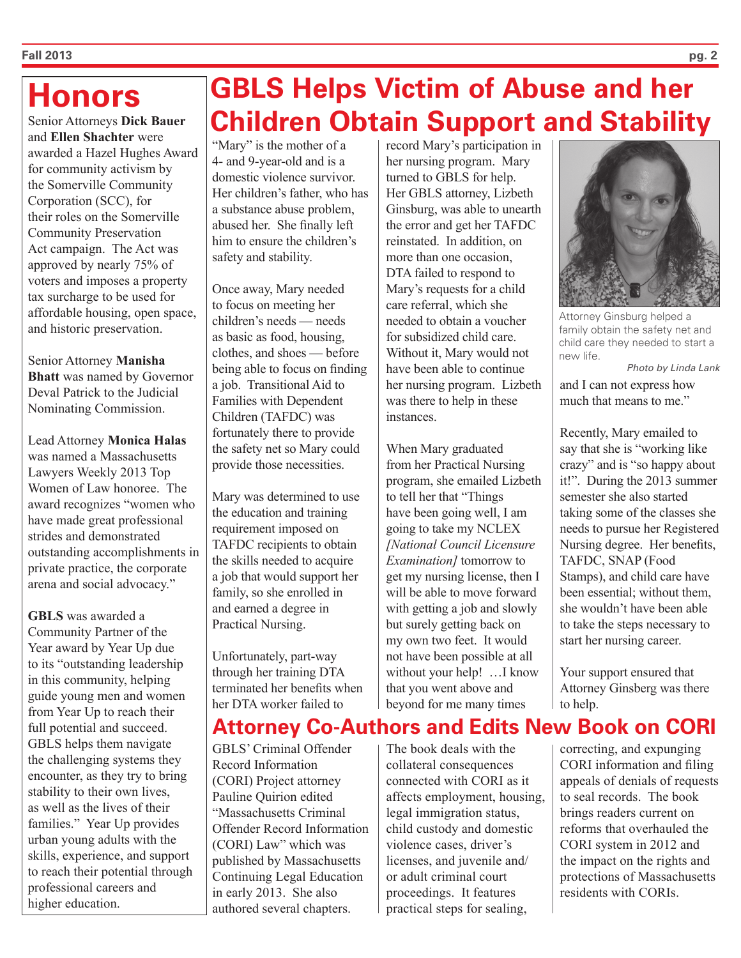## **Honors**

Senior Attorneys **Dick Bauer**  and **Ellen Shachter** were awarded a Hazel Hughes Award for community activism by the Somerville Community Corporation (SCC), for their roles on the Somerville Community Preservation Act campaign. The Act was approved by nearly 75% of voters and imposes a property tax surcharge to be used for affordable housing, open space, and historic preservation.

Senior Attorney **Manisha Bhatt** was named by Governor Deval Patrick to the Judicial Nominating Commission.

Lead Attorney **Monica Halas** was named a Massachusetts Lawyers Weekly 2013 Top Women of Law honoree. The award recognizes "women who have made great professional strides and demonstrated outstanding accomplishments in private practice, the corporate arena and social advocacy."

**GBLS** was awarded a Community Partner of the Year award by Year Up due to its "outstanding leadership in this community, helping guide young men and women from Year Up to reach their full potential and succeed. GBLS helps them navigate the challenging systems they encounter, as they try to bring stability to their own lives, as well as the lives of their families." Year Up provides urban young adults with the skills, experience, and support to reach their potential through professional careers and higher education.

## **GBLS Helps Victim of Abuse and her Children Obtain Support and Stability**

"Mary" is the mother of a 4- and 9-year-old and is a domestic violence survivor. Her children's father, who has a substance abuse problem, abused her. She finally left him to ensure the children's safety and stability.

Once away, Mary needed to focus on meeting her children's needs — needs as basic as food, housing, clothes, and shoes — before being able to focus on finding a job. Transitional Aid to Families with Dependent Children (TAFDC) was fortunately there to provide the safety net so Mary could provide those necessities.

Mary was determined to use the education and training requirement imposed on TAFDC recipients to obtain the skills needed to acquire a job that would support her family, so she enrolled in and earned a degree in Practical Nursing.

Unfortunately, part-way through her training DTA terminated her benefits when her DTA worker failed to

GBLS' Criminal Offender Record Information (CORI) Project attorney Pauline Quirion edited "Massachusetts Criminal Offender Record Information (CORI) Law" which was published by Massachusetts Continuing Legal Education in early 2013. She also authored several chapters.

record Mary's participation in her nursing program. Mary turned to GBLS for help. Her GBLS attorney, Lizbeth Ginsburg, was able to unearth the error and get her TAFDC reinstated. In addition, on more than one occasion, DTA failed to respond to Mary's requests for a child care referral, which she needed to obtain a voucher for subsidized child care. Without it, Mary would not have been able to continue her nursing program. Lizbeth was there to help in these instances.

When Mary graduated from her Practical Nursing program, she emailed Lizbeth to tell her that "Things have been going well, I am going to take my NCLEX *[National Council Licensure Examination]* tomorrow to get my nursing license, then I will be able to move forward with getting a job and slowly but surely getting back on my own two feet. It would not have been possible at all without your help! …I know that you went above and beyond for me many times





Attorney Ginsburg helped a family obtain the safety net and child care they needed to start a new life.

*Photo by Linda Lank*

and I can not express how much that means to me."

Recently, Mary emailed to say that she is "working like crazy" and is "so happy about it!". During the 2013 summer semester she also started taking some of the classes she needs to pursue her Registered Nursing degree. Her benefits, TAFDC, SNAP (Food Stamps), and child care have been essential; without them, she wouldn't have been able to take the steps necessary to start her nursing career.

Your support ensured that Attorney Ginsberg was there to help.

correcting, and expunging CORI information and filing appeals of denials of requests to seal records. The book brings readers current on reforms that overhauled the CORI system in 2012 and the impact on the rights and protections of Massachusetts residents with CORIs.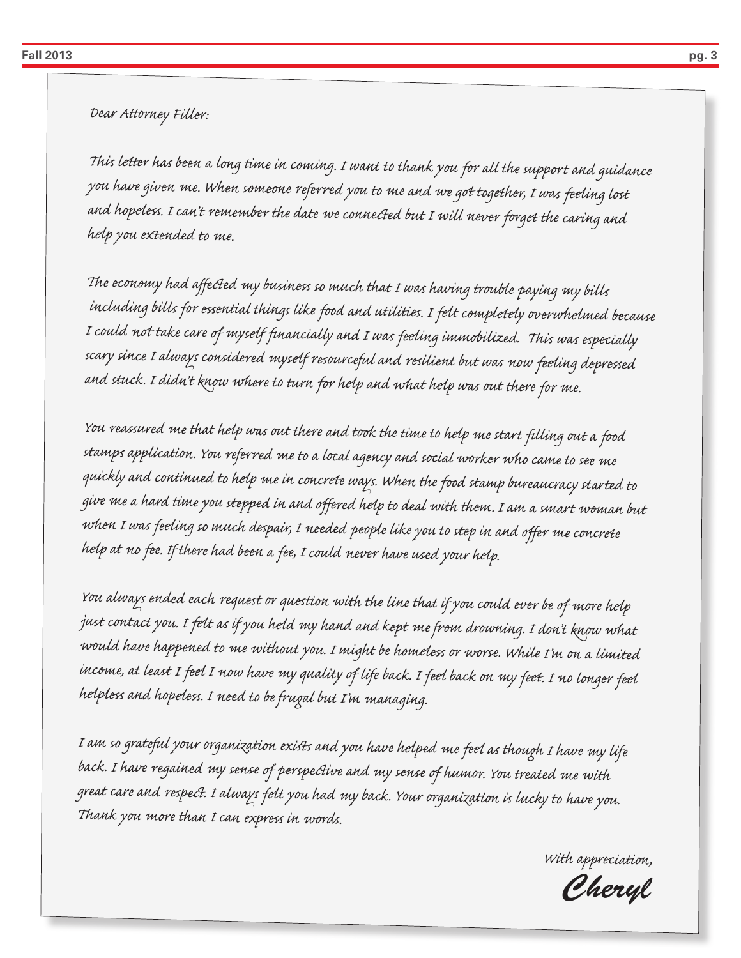*Dear Attorney Filler:*

*This letter has been a long time in coming. I want to thank you for all the support and guidance you have given me. When someone referred you to me and we got together, I was feeling lost and hopeless. I can't remember the date we connected but I will never forget the caring and help you extended to me.*

*The economy had affected my business so much that I was having trouble paying my bills including bills for essential things like food and utilities. I felt completely overwhelmed because I could not take care of myself financially and I was feeling immobilized. This was especially scary since I always considered myself resourceful and resilient but was now feeling depressed and stuck. I didn't know where to turn for help and what help was out there for me.*

*You reassured me that help was out there and took the time to help me start filling out a food stamps application. You referred me to a local agency and social worker who came to see me quickly and continued to help me in concrete ways. When the food stamp bureaucracy started to <sup>g</sup>ive me a hard time you stepped in and offered help to deal with them. I am a smart woman but when I was feeling so much despair, I needed people like you to step in and offer me concrete help at no fee. If there had been a fee, I could never have used your help.*

*You always ended each request or question with the line that if you could ever be of more help just contact you. I felt as if you held my hand and kept me from drowning. I don't know what would have happened to me without you. I might be homeless or worse. While I'm on a limited income, at least I feel I now have my quality of life back. I feel back on my feet. I no longer feel helpless and hopeless. I need to be frugal but I'm managing.*

*I am so grateful your organization exists and you have helped me feel as though I have my life back. I have regained my sense of perspective and my sense of humor. You treated me with great care and respect. I always felt you had my back. Your organization is lucky to have you. Thank you more than I can express in words.*

*With appreciation,*

*Cheryl*